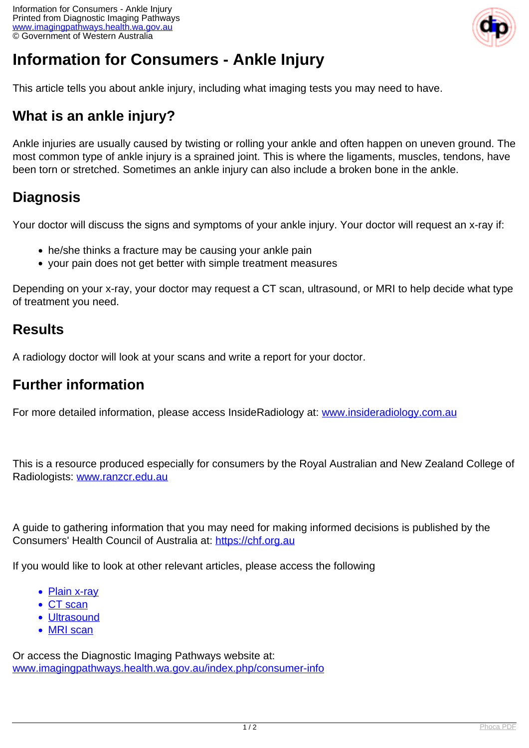

# **Information for Consumers - Ankle Injury**

This article tells you about ankle injury, including what imaging tests you may need to have.

## **What is an ankle injury?**

Ankle injuries are usually caused by twisting or rolling your ankle and often happen on uneven ground. The most common type of ankle injury is a sprained joint. This is where the ligaments, muscles, tendons, have been torn or stretched. Sometimes an ankle injury can also include a broken bone in the ankle.

#### **Diagnosis**

Your doctor will discuss the signs and symptoms of your ankle injury. Your doctor will request an x-ray if:

- he/she thinks a fracture may be causing your ankle pain
- your pain does not get better with simple treatment measures

Depending on your x-ray, your doctor may request a CT scan, ultrasound, or MRI to help decide what type of treatment you need.

#### **Results**

A radiology doctor will look at your scans and write a report for your doctor.

#### **Further information**

For more detailed information, please access InsideRadiology at: [www.insideradiology.com.au](http://www.insideradiology.com.au/)

This is a resource produced especially for consumers by the Royal Australian and New Zealand College of Radiologists: [www.ranzcr.edu.au](http://www.ranzcr.edu.au/)

A guide to gathering information that you may need for making informed decisions is published by the Consumers' Health Council of Australia at: <https://chf.org.au>

If you would like to look at other relevant articles, please access the following

- [Plain x-ray](index.php/consumer-info/imaging-procedures/x-ray)
- [CT scan](index.php/consumer-info/imaging-procedures/ct-scan)
- [Ultrasound](index.php/consumer-info/imaging-procedures/ultrasound)
- [MRI scan](index.php/consumer-info/imaging-procedures/magnetic-resonance-imaging-mri)

Or access the Diagnostic Imaging Pathways website at: [www.imagingpathways.health.wa.gov.au/index.php/consumer-info](index.php/consumer-info)